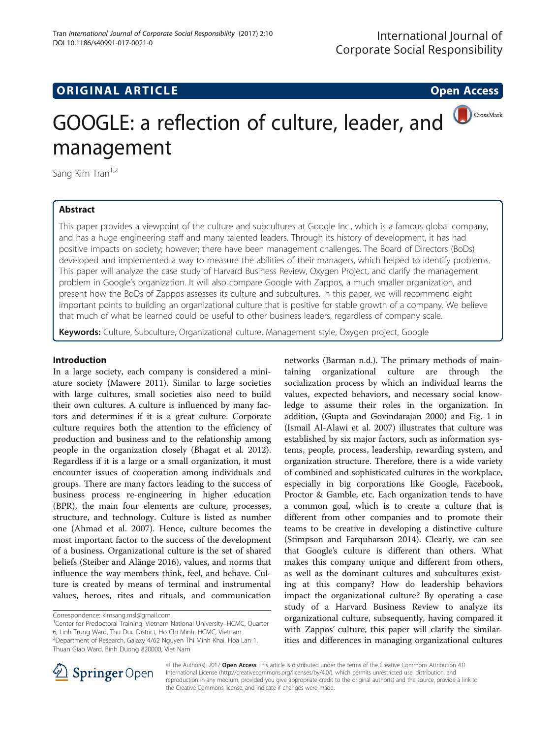# **ORIGINAL ARTICLE CONSERVANCE IN A LOCAL CONSERVANCE IN A LOCAL CONSERVANCE IN A LOCAL CONSERVANCE IN A LOCAL CONSERVANCE IN A LOCAL CONSERVANCE IN A LOCAL CONSERVANCE IN A LOCAL CONSERVANCE IN A LOCAL CONSERVANCE IN A L**

management



Sang Kim Tran<sup>1,2</sup>

## Abstract

This paper provides a viewpoint of the culture and subcultures at Google Inc., which is a famous global company, and has a huge engineering staff and many talented leaders. Through its history of development, it has had positive impacts on society; however; there have been management challenges. The Board of Directors (BoDs) developed and implemented a way to measure the abilities of their managers, which helped to identify problems. This paper will analyze the case study of Harvard Business Review, Oxygen Project, and clarify the management problem in Google's organization. It will also compare Google with Zappos, a much smaller organization, and present how the BoDs of Zappos assesses its culture and subcultures. In this paper, we will recommend eight important points to building an organizational culture that is positive for stable growth of a company. We believe that much of what be learned could be useful to other business leaders, regardless of company scale.

Keywords: Culture, Subculture, Organizational culture, Management style, Oxygen project, Google

## Introduction

In a large society, each company is considered a miniature society (Mawere [2011](#page-12-0)). Similar to large societies with large cultures, small societies also need to build their own cultures. A culture is influenced by many factors and determines if it is a great culture. Corporate culture requires both the attention to the efficiency of production and business and to the relationship among people in the organization closely (Bhagat et al. [2012](#page-11-0)). Regardless if it is a large or a small organization, it must encounter issues of cooperation among individuals and groups. There are many factors leading to the success of business process re-engineering in higher education (BPR), the main four elements are culture, processes, structure, and technology. Culture is listed as number one (Ahmad et al. [2007](#page-11-0)). Hence, culture becomes the most important factor to the success of the development of a business. Organizational culture is the set of shared beliefs (Steiber and Alänge [2016\)](#page-12-0), values, and norms that influence the way members think, feel, and behave. Culture is created by means of terminal and instrumental values, heroes, rites and rituals, and communication

<sup>1</sup>Center for Predoctoral Training, Vietnam National University-HCMC, Quarter 6, Linh Trung Ward, Thu Duc District, Ho Chi Minh, HCMC, Vietnam 2 Department of Research, Galaxy 4/62 Nguyen Thi Minh Khai, Hoa Lan 1,

Thuan Giao Ward, Binh Duong 820000, Viet Nam

networks (Barman [n.d.\)](#page-11-0). The primary methods of maintaining organizational culture are through the socialization process by which an individual learns the values, expected behaviors, and necessary social knowledge to assume their roles in the organization. In addition, (Gupta and Govindarajan [2000\)](#page-12-0) and Fig. [1](#page-1-0) in (Ismail Al-Alawi et al. [2007\)](#page-12-0) illustrates that culture was established by six major factors, such as information systems, people, process, leadership, rewarding system, and organization structure. Therefore, there is a wide variety of combined and sophisticated cultures in the workplace, especially in big corporations like Google, Facebook, Proctor & Gamble, etc. Each organization tends to have a common goal, which is to create a culture that is different from other companies and to promote their teams to be creative in developing a distinctive culture (Stimpson and Farquharson [2014\)](#page-12-0). Clearly, we can see that Google's culture is different than others. What makes this company unique and different from others, as well as the dominant cultures and subcultures existing at this company? How do leadership behaviors impact the organizational culture? By operating a case study of a Harvard Business Review to analyze its organizational culture, subsequently, having compared it with Zappos' culture, this paper will clarify the similarities and differences in managing organizational cultures



© The Author(s). 2017 **Open Access** This article is distributed under the terms of the Creative Commons Attribution 4.0 International License ([http://creativecommons.org/licenses/by/4.0/\)](http://creativecommons.org/licenses/by/4.0/), which permits unrestricted use, distribution, and reproduction in any medium, provided you give appropriate credit to the original author(s) and the source, provide a link to the Creative Commons license, and indicate if changes were made.

Correspondence: [kimsang.msl@gmail.com](mailto:kimsang.msl@gmail.com) <sup>1</sup>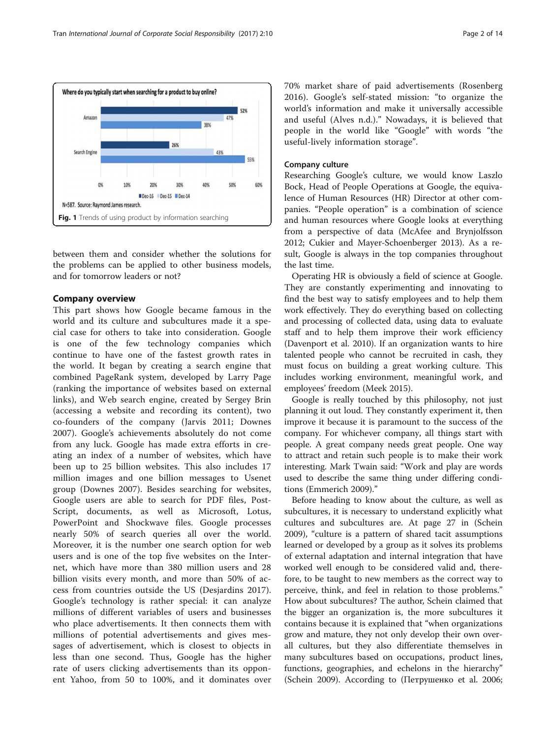<span id="page-1-0"></span>

between them and consider whether the solutions for the problems can be applied to other business models, and for tomorrow leaders or not?

#### Company overview

This part shows how Google became famous in the world and its culture and subcultures made it a special case for others to take into consideration. Google is one of the few technology companies which continue to have one of the fastest growth rates in the world. It began by creating a search engine that combined PageRank system, developed by Larry Page (ranking the importance of websites based on external links), and Web search engine, created by Sergey Brin (accessing a website and recording its content), two co-founders of the company (Jarvis [2011;](#page-12-0) Downes [2007\)](#page-11-0). Google's achievements absolutely do not come from any luck. Google has made extra efforts in creating an index of a number of websites, which have been up to 25 billion websites. This also includes 17 million images and one billion messages to Usenet group (Downes [2007](#page-11-0)). Besides searching for websites, Google users are able to search for PDF files, Post-Script, documents, as well as Microsoft, Lotus, PowerPoint and Shockwave files. Google processes nearly 50% of search queries all over the world. Moreover, it is the number one search option for web users and is one of the top five websites on the Internet, which have more than 380 million users and 28 billion visits every month, and more than 50% of access from countries outside the US (Desjardins [2017](#page-11-0)). Google's technology is rather special: it can analyze millions of different variables of users and businesses who place advertisements. It then connects them with millions of potential advertisements and gives messages of advertisement, which is closest to objects in less than one second. Thus, Google has the higher rate of users clicking advertisements than its opponent Yahoo, from 50 to 100%, and it dominates over

70% market share of paid advertisements (Rosenberg [2016\)](#page-12-0). Google's self-stated mission: "to organize the world's information and make it universally accessible and useful (Alves [n.d.](#page-11-0))." Nowadays, it is believed that people in the world like "Google" with words "the useful-lively information storage".

#### Company culture

Researching Google's culture, we would know Laszlo Bock, Head of People Operations at Google, the equivalence of Human Resources (HR) Director at other companies. "People operation" is a combination of science and human resources where Google looks at everything from a perspective of data (McAfee and Brynjolfsson [2012](#page-12-0); Cukier and Mayer-Schoenberger [2013](#page-11-0)). As a result, Google is always in the top companies throughout the last time.

Operating HR is obviously a field of science at Google. They are constantly experimenting and innovating to find the best way to satisfy employees and to help them work effectively. They do everything based on collecting and processing of collected data, using data to evaluate staff and to help them improve their work efficiency (Davenport et al. [2010\)](#page-11-0). If an organization wants to hire talented people who cannot be recruited in cash, they must focus on building a great working culture. This includes working environment, meaningful work, and employees' freedom (Meek [2015](#page-12-0)).

Google is really touched by this philosophy, not just planning it out loud. They constantly experiment it, then improve it because it is paramount to the success of the company. For whichever company, all things start with people. A great company needs great people. One way to attract and retain such people is to make their work interesting. Mark Twain said: "Work and play are words used to describe the same thing under differing conditions (Emmerich [2009\)](#page-11-0)."

Before heading to know about the culture, as well as subcultures, it is necessary to understand explicitly what cultures and subcultures are. At page 27 in (Schein [2009](#page-12-0)), "culture is a pattern of shared tacit assumptions learned or developed by a group as it solves its problems of external adaptation and internal integration that have worked well enough to be considered valid and, therefore, to be taught to new members as the correct way to perceive, think, and feel in relation to those problems." How about subcultures? The author, Schein claimed that the bigger an organization is, the more subcultures it contains because it is explained that "when organizations grow and mature, they not only develop their own overall cultures, but they also differentiate themselves in many subcultures based on occupations, product lines, functions, geographies, and echelons in the hierarchy" (Schein [2009](#page-12-0)). According to (Петрушенко et al. [2006](#page-13-0);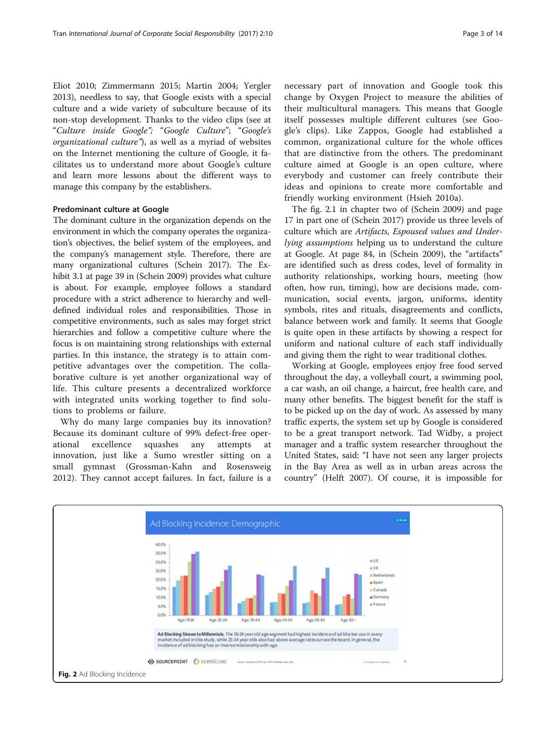<span id="page-2-0"></span>Eliot [2010](#page-11-0); Zimmermann [2015](#page-13-0); Martin [2004;](#page-12-0) Yergler [2013](#page-13-0)), needless to say, that Google exists with a special culture and a wide variety of subculture because of its non-stop development. Thanks to the video clips (see at "Culture inside Google"; "Google Culture"; "Google's organizational culture"), as well as a myriad of websites on the Internet mentioning the culture of Google, it facilitates us to understand more about Google's culture and learn more lessons about the different ways to manage this company by the establishers.

#### Predominant culture at Google

The dominant culture in the organization depends on the environment in which the company operates the organization's objectives, the belief system of the employees, and the company's management style. Therefore, there are many organizational cultures (Schein [2017\)](#page-12-0). The Exhibit 3.1 at page 39 in (Schein [2009\)](#page-12-0) provides what culture is about. For example, employee follows a standard procedure with a strict adherence to hierarchy and welldefined individual roles and responsibilities. Those in competitive environments, such as sales may forget strict hierarchies and follow a competitive culture where the focus is on maintaining strong relationships with external parties. In this instance, the strategy is to attain competitive advantages over the competition. The collaborative culture is yet another organizational way of life. This culture presents a decentralized workforce with integrated units working together to find solutions to problems or failure.

Why do many large companies buy its innovation? Because its dominant culture of 99% defect-free operational excellence squashes any attempts at innovation, just like a Sumo wrestler sitting on a small gymnast (Grossman-Kahn and Rosensweig [2012\)](#page-12-0). They cannot accept failures. In fact, failure is a necessary part of innovation and Google took this change by Oxygen Project to measure the abilities of their multicultural managers. This means that Google itself possesses multiple different cultures (see Google's clips). Like Zappos, Google had established a common, organizational culture for the whole offices that are distinctive from the others. The predominant culture aimed at Google is an open culture, where everybody and customer can freely contribute their ideas and opinions to create more comfortable and friendly working environment (Hsieh [2010a](#page-12-0)).

The fig. 2.1 in chapter two of (Schein [2009](#page-12-0)) and page 17 in part one of (Schein [2017\)](#page-12-0) provide us three levels of culture which are Artifacts, Espoused values and Underlying assumptions helping us to understand the culture at Google. At page 84, in (Schein [2009](#page-12-0)), the "artifacts" are identified such as dress codes, level of formality in authority relationships, working hours, meeting (how often, how run, timing), how are decisions made, communication, social events, jargon, uniforms, identity symbols, rites and rituals, disagreements and conflicts, balance between work and family. It seems that Google is quite open in these artifacts by showing a respect for uniform and national culture of each staff individually and giving them the right to wear traditional clothes.

Working at Google, employees enjoy free food served throughout the day, a volleyball court, a swimming pool, a car wash, an oil change, a haircut, free health care, and many other benefits. The biggest benefit for the staff is to be picked up on the day of work. As assessed by many traffic experts, the system set up by Google is considered to be a great transport network. Tad Widby, a project manager and a traffic system researcher throughout the United States, said: "I have not seen any larger projects in the Bay Area as well as in urban areas across the country" (Helft [2007](#page-12-0)). Of course, it is impossible for

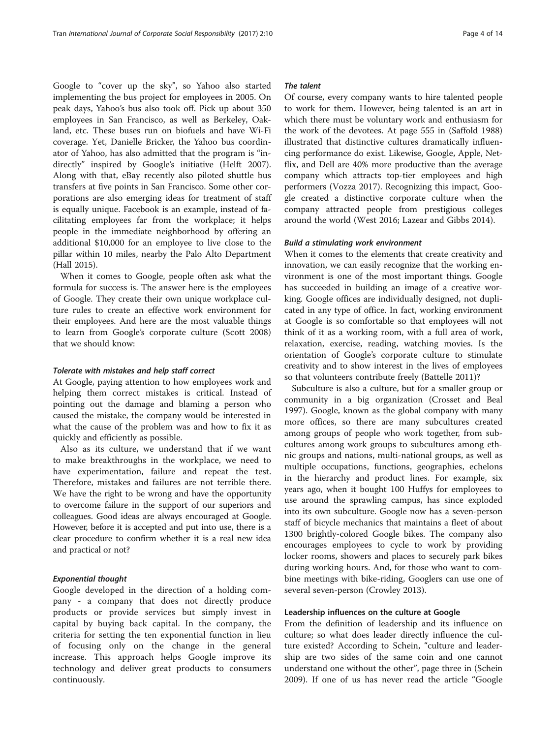Google to "cover up the sky", so Yahoo also started implementing the bus project for employees in 2005. On peak days, Yahoo's bus also took off. Pick up about 350 employees in San Francisco, as well as Berkeley, Oakland, etc. These buses run on biofuels and have Wi-Fi coverage. Yet, Danielle Bricker, the Yahoo bus coordinator of Yahoo, has also admitted that the program is "indirectly" inspired by Google's initiative (Helft [2007](#page-12-0)). Along with that, eBay recently also piloted shuttle bus transfers at five points in San Francisco. Some other corporations are also emerging ideas for treatment of staff is equally unique. Facebook is an example, instead of facilitating employees far from the workplace; it helps people in the immediate neighborhood by offering an additional \$10,000 for an employee to live close to the pillar within 10 miles, nearby the Palo Alto Department (Hall [2015](#page-12-0)).

When it comes to Google, people often ask what the formula for success is. The answer here is the employees of Google. They create their own unique workplace culture rules to create an effective work environment for their employees. And here are the most valuable things to learn from Google's corporate culture (Scott [2008](#page-12-0)) that we should know:

## Tolerate with mistakes and help staff correct

At Google, paying attention to how employees work and helping them correct mistakes is critical. Instead of pointing out the damage and blaming a person who caused the mistake, the company would be interested in what the cause of the problem was and how to fix it as quickly and efficiently as possible.

Also as its culture, we understand that if we want to make breakthroughs in the workplace, we need to have experimentation, failure and repeat the test. Therefore, mistakes and failures are not terrible there. We have the right to be wrong and have the opportunity to overcome failure in the support of our superiors and colleagues. Good ideas are always encouraged at Google. However, before it is accepted and put into use, there is a clear procedure to confirm whether it is a real new idea and practical or not?

#### Exponential thought

Google developed in the direction of a holding company - a company that does not directly produce products or provide services but simply invest in capital by buying back capital. In the company, the criteria for setting the ten exponential function in lieu of focusing only on the change in the general increase. This approach helps Google improve its technology and deliver great products to consumers continuously.

## The talent

Of course, every company wants to hire talented people to work for them. However, being talented is an art in which there must be voluntary work and enthusiasm for the work of the devotees. At page 555 in (Saffold [1988](#page-12-0)) illustrated that distinctive cultures dramatically influencing performance do exist. Likewise, Google, Apple, Netflix, and Dell are 40% more productive than the average company which attracts top-tier employees and high performers (Vozza [2017](#page-12-0)). Recognizing this impact, Google created a distinctive corporate culture when the company attracted people from prestigious colleges around the world (West [2016;](#page-12-0) Lazear and Gibbs [2014](#page-12-0)).

#### Build a stimulating work environment

When it comes to the elements that create creativity and innovation, we can easily recognize that the working environment is one of the most important things. Google has succeeded in building an image of a creative working. Google offices are individually designed, not duplicated in any type of office. In fact, working environment at Google is so comfortable so that employees will not think of it as a working room, with a full area of work, relaxation, exercise, reading, watching movies. Is the orientation of Google's corporate culture to stimulate creativity and to show interest in the lives of employees so that volunteers contribute freely (Battelle [2011\)](#page-11-0)?

Subculture is also a culture, but for a smaller group or community in a big organization (Crosset and Beal [1997](#page-11-0)). Google, known as the global company with many more offices, so there are many subcultures created among groups of people who work together, from subcultures among work groups to subcultures among ethnic groups and nations, multi-national groups, as well as multiple occupations, functions, geographies, echelons in the hierarchy and product lines. For example, six years ago, when it bought 100 Huffys for employees to use around the sprawling campus, has since exploded into its own subculture. Google now has a seven-person staff of bicycle mechanics that maintains a fleet of about 1300 brightly-colored Google bikes. The company also encourages employees to cycle to work by providing locker rooms, showers and places to securely park bikes during working hours. And, for those who want to combine meetings with bike-riding, Googlers can use one of several seven-person (Crowley [2013\)](#page-11-0).

#### Leadership influences on the culture at Google

From the definition of leadership and its influence on culture; so what does leader directly influence the culture existed? According to Schein, "culture and leadership are two sides of the same coin and one cannot understand one without the other", page three in (Schein [2009](#page-12-0)). If one of us has never read the article "Google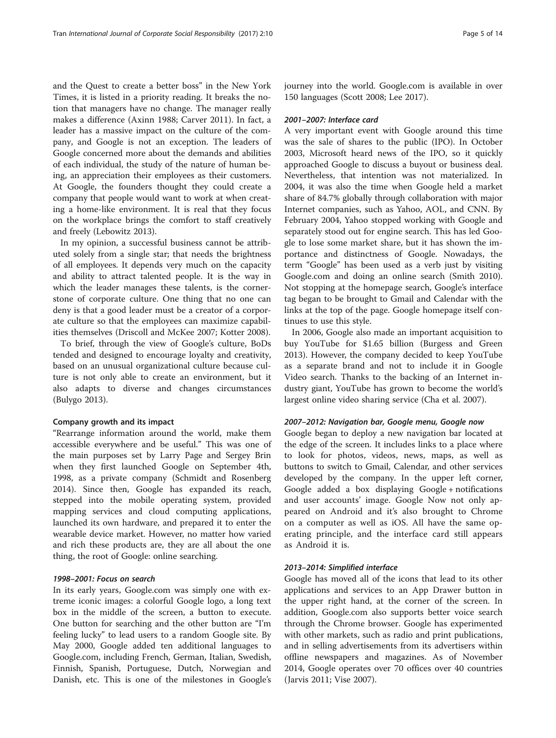and the Quest to create a better boss" in the New York Times, it is listed in a priority reading. It breaks the notion that managers have no change. The manager really makes a difference (Axinn [1988;](#page-11-0) Carver [2011\)](#page-11-0). In fact, a leader has a massive impact on the culture of the company, and Google is not an exception. The leaders of Google concerned more about the demands and abilities of each individual, the study of the nature of human being, an appreciation their employees as their customers. At Google, the founders thought they could create a company that people would want to work at when creating a home-like environment. It is real that they focus on the workplace brings the comfort to staff creatively and freely (Lebowitz [2013\)](#page-12-0).

In my opinion, a successful business cannot be attributed solely from a single star; that needs the brightness of all employees. It depends very much on the capacity and ability to attract talented people. It is the way in which the leader manages these talents, is the cornerstone of corporate culture. One thing that no one can deny is that a good leader must be a creator of a corporate culture so that the employees can maximize capabilities themselves (Driscoll and McKee [2007;](#page-11-0) Kotter [2008\)](#page-12-0).

To brief, through the view of Google's culture, BoDs tended and designed to encourage loyalty and creativity, based on an unusual organizational culture because culture is not only able to create an environment, but it also adapts to diverse and changes circumstances (Bulygo [2013](#page-11-0)).

#### Company growth and its impact

"Rearrange information around the world, make them accessible everywhere and be useful." This was one of the main purposes set by Larry Page and Sergey Brin when they first launched Google on September 4th, 1998, as a private company (Schmidt and Rosenberg [2014](#page-12-0)). Since then, Google has expanded its reach, stepped into the mobile operating system, provided mapping services and cloud computing applications, launched its own hardware, and prepared it to enter the wearable device market. However, no matter how varied and rich these products are, they are all about the one thing, the root of Google: online searching.

## 1998–2001: Focus on search

In its early years, [Google.com](http://google.com) was simply one with extreme iconic images: a colorful Google logo, a long text box in the middle of the screen, a button to execute. One button for searching and the other button are "I'm feeling lucky" to lead users to a random Google site. By May 2000, Google added ten additional languages to [Google.com,](http://google.com) including French, German, Italian, Swedish, Finnish, Spanish, Portuguese, Dutch, Norwegian and Danish, etc. This is one of the milestones in Google's journey into the world. [Google.com](http://google.com) is available in over 150 languages (Scott [2008;](#page-12-0) Lee [2017\)](#page-12-0).

#### 2001–2007: Interface card

A very important event with Google around this time was the sale of shares to the public (IPO). In October 2003, Microsoft heard news of the IPO, so it quickly approached Google to discuss a buyout or business deal. Nevertheless, that intention was not materialized. In 2004, it was also the time when Google held a market share of 84.7% globally through collaboration with major Internet companies, such as Yahoo, AOL, and CNN. By February 2004, Yahoo stopped working with Google and separately stood out for engine search. This has led Google to lose some market share, but it has shown the importance and distinctness of Google. Nowadays, the term "Google" has been used as a verb just by visiting [Google.com](http://google.com) and doing an online search (Smith [2010](#page-12-0)). Not stopping at the homepage search, Google's interface tag began to be brought to Gmail and Calendar with the links at the top of the page. Google homepage itself continues to use this style.

In 2006, Google also made an important acquisition to buy YouTube for \$1.65 billion (Burgess and Green [2013](#page-11-0)). However, the company decided to keep YouTube as a separate brand and not to include it in Google Video search. Thanks to the backing of an Internet industry giant, YouTube has grown to become the world's largest online video sharing service (Cha et al. [2007](#page-11-0)).

#### 2007–2012: Navigation bar, Google menu, Google now

Google began to deploy a new navigation bar located at the edge of the screen. It includes links to a place where to look for photos, videos, news, maps, as well as buttons to switch to Gmail, Calendar, and other services developed by the company. In the upper left corner, Google added a box displaying Google + notifications and user accounts' image. Google Now not only appeared on Android and it's also brought to Chrome on a computer as well as iOS. All have the same operating principle, and the interface card still appears as Android it is.

#### 2013–2014: Simplified interface

Google has moved all of the icons that lead to its other applications and services to an App Drawer button in the upper right hand, at the corner of the screen. In addition, [Google.com](http://google.com) also supports better voice search through the Chrome browser. Google has experimented with other markets, such as radio and print publications, and in selling advertisements from its advertisers within offline newspapers and magazines. As of November 2014, Google operates over 70 offices over 40 countries (Jarvis [2011](#page-12-0); Vise [2007](#page-12-0)).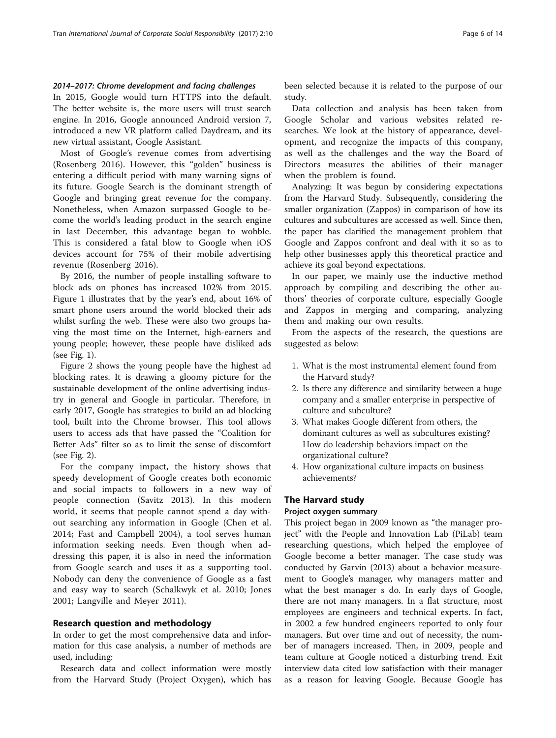## 2014–2017: Chrome development and facing challenges

In 2015, Google would turn HTTPS into the default. The better website is, the more users will trust search engine. In 2016, Google announced Android version 7, introduced a new VR platform called Daydream, and its new virtual assistant, Google Assistant.

Most of Google's revenue comes from advertising (Rosenberg [2016\)](#page-12-0). However, this "golden" business is entering a difficult period with many warning signs of its future. Google Search is the dominant strength of Google and bringing great revenue for the company. Nonetheless, when Amazon surpassed Google to become the world's leading product in the search engine in last December, this advantage began to wobble. This is considered a fatal blow to Google when iOS devices account for 75% of their mobile advertising revenue (Rosenberg [2016](#page-12-0)).

By 2016, the number of people installing software to block ads on phones has increased 102% from 2015. Figure [1](#page-1-0) illustrates that by the year's end, about 16% of smart phone users around the world blocked their ads whilst surfing the web. These were also two groups having the most time on the Internet, high-earners and young people; however, these people have disliked ads (see Fig. [1\)](#page-1-0).

Figure [2](#page-2-0) shows the young people have the highest ad blocking rates. It is drawing a gloomy picture for the sustainable development of the online advertising industry in general and Google in particular. Therefore, in early 2017, Google has strategies to build an ad blocking tool, built into the Chrome browser. This tool allows users to access ads that have passed the "Coalition for Better Ads" filter so as to limit the sense of discomfort (see Fig. [2\)](#page-2-0).

For the company impact, the history shows that speedy development of Google creates both economic and social impacts to followers in a new way of people connection (Savitz [2013](#page-12-0)). In this modern world, it seems that people cannot spend a day without searching any information in Google (Chen et al. [2014;](#page-11-0) Fast and Campbell [2004](#page-11-0)), a tool serves human information seeking needs. Even though when addressing this paper, it is also in need the information from Google search and uses it as a supporting tool. Nobody can deny the convenience of Google as a fast and easy way to search (Schalkwyk et al. [2010;](#page-12-0) Jones [2001;](#page-12-0) Langville and Meyer [2011](#page-12-0)).

#### Research question and methodology

In order to get the most comprehensive data and information for this case analysis, a number of methods are used, including:

Research data and collect information were mostly from the Harvard Study (Project Oxygen), which has

been selected because it is related to the purpose of our study.

Data collection and analysis has been taken from Google Scholar and various websites related researches. We look at the history of appearance, development, and recognize the impacts of this company, as well as the challenges and the way the Board of Directors measures the abilities of their manager when the problem is found.

Analyzing: It was begun by considering expectations from the Harvard Study. Subsequently, considering the smaller organization (Zappos) in comparison of how its cultures and subcultures are accessed as well. Since then, the paper has clarified the management problem that Google and Zappos confront and deal with it so as to help other businesses apply this theoretical practice and achieve its goal beyond expectations.

In our paper, we mainly use the inductive method approach by compiling and describing the other authors' theories of corporate culture, especially Google and Zappos in merging and comparing, analyzing them and making our own results.

From the aspects of the research, the questions are suggested as below:

- 1. What is the most instrumental element found from the Harvard study?
- 2. Is there any difference and similarity between a huge company and a smaller enterprise in perspective of culture and subculture?
- 3. What makes Google different from others, the dominant cultures as well as subcultures existing? How do leadership behaviors impact on the organizational culture?
- 4. How organizational culture impacts on business achievements?

## The Harvard study

#### Project oxygen summary

This project began in 2009 known as "the manager project" with the People and Innovation Lab (PiLab) team researching questions, which helped the employee of Google become a better manager. The case study was conducted by Garvin (2013) about a behavior measurement to Google's manager, why managers matter and what the best manager s do. In early days of Google, there are not many managers. In a flat structure, most employees are engineers and technical experts. In fact, in 2002 a few hundred engineers reported to only four managers. But over time and out of necessity, the number of managers increased. Then, in 2009, people and team culture at Google noticed a disturbing trend. Exit interview data cited low satisfaction with their manager as a reason for leaving Google. Because Google has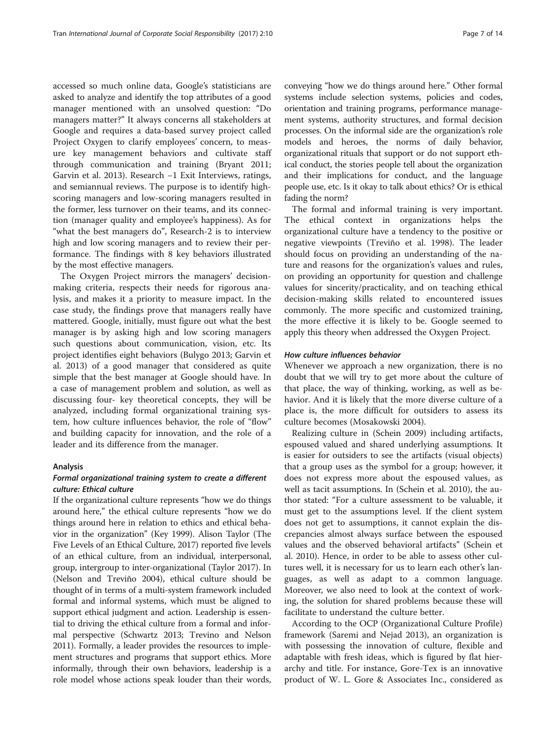accessed so much online data, Google's statisticians are asked to analyze and identify the top attributes of a good manager mentioned with an unsolved question: "Do managers matter?" It always concerns all stakeholders at Google and requires a data-based survey project called Project Oxygen to clarify employees' concern, to measure key management behaviors and cultivate staff through communication and training (Bryant [2011](#page-11-0); Garvin et al. [2013\)](#page-11-0). Research −1 Exit Interviews, ratings, and semiannual reviews. The purpose is to identify highscoring managers and low-scoring managers resulted in the former, less turnover on their teams, and its connection (manager quality and employee's happiness). As for "what the best managers do", Research-2 is to interview high and low scoring managers and to review their performance. The findings with 8 key behaviors illustrated by the most effective managers.

The Oxygen Project mirrors the managers' decisionmaking criteria, respects their needs for rigorous analysis, and makes it a priority to measure impact. In the case study, the findings prove that managers really have mattered. Google, initially, must figure out what the best manager is by asking high and low scoring managers such questions about communication, vision, etc. Its project identifies eight behaviors (Bulygo [2013;](#page-11-0) Garvin et al. [2013](#page-11-0)) of a good manager that considered as quite simple that the best manager at Google should have. In a case of management problem and solution, as well as discussing four- key theoretical concepts, they will be analyzed, including formal organizational training system, how culture influences behavior, the role of "flow" and building capacity for innovation, and the role of a leader and its difference from the manager.

#### Analysis

## Formal organizational training system to create a different culture: Ethical culture

If the organizational culture represents "how we do things around here," the ethical culture represents "how we do things around here in relation to ethics and ethical behavior in the organization" (Key [1999](#page-12-0)). Alison Taylor (The Five Levels of an Ethical Culture, 2017) reported five levels of an ethical culture, from an individual, interpersonal, group, intergroup to inter-organizational (Taylor [2017\)](#page-12-0). In (Nelson and Treviño [2004](#page-12-0)), ethical culture should be thought of in terms of a multi-system framework included formal and informal systems, which must be aligned to support ethical judgment and action. Leadership is essential to driving the ethical culture from a formal and informal perspective (Schwartz [2013;](#page-12-0) Trevino and Nelson [2011\)](#page-12-0). Formally, a leader provides the resources to implement structures and programs that support ethics. More informally, through their own behaviors, leadership is a role model whose actions speak louder than their words, conveying "how we do things around here." Other formal systems include selection systems, policies and codes, orientation and training programs, performance management systems, authority structures, and formal decision processes. On the informal side are the organization's role models and heroes, the norms of daily behavior, organizational rituals that support or do not support ethical conduct, the stories people tell about the organization and their implications for conduct, and the language people use, etc. Is it okay to talk about ethics? Or is [ethical](http://ethicalsystems.org/content/decision-making) [fading](http://ethicalsystems.org/content/decision-making) the norm?

The formal and informal training is very important. The ethical context in organizations helps the organizational culture have a tendency to the positive or negative viewpoints (Treviño et al. [1998](#page-12-0)). The leader should focus on providing an understanding of the nature and reasons for the organization's values and rules, on providing an opportunity for question and challenge values for sincerity/practicality, and on teaching ethical decision-making skills related to encountered issues commonly. The more specific and customized training, the more effective it is likely to be. Google seemed to apply this theory when addressed the Oxygen Project.

#### How culture influences behavior

Whenever we approach a new organization, there is no doubt that we will try to get more about the culture of that place, the way of thinking, working, as well as behavior. And it is likely that the more diverse culture of a place is, the more difficult for outsiders to assess its culture becomes (Mosakowski [2004](#page-12-0)).

Realizing culture in (Schein [2009\)](#page-12-0) including artifacts, espoused valued and shared underlying assumptions. It is easier for outsiders to see the artifacts (visual objects) that a group uses as the symbol for a group; however, it does not express more about the espoused values, as well as tacit assumptions. In (Schein et al. [2010\)](#page-12-0), the author stated: "For a culture assessment to be valuable, it must get to the assumptions level. If the client system does not get to assumptions, it cannot explain the discrepancies almost always surface between the espoused values and the observed behavioral artifacts" (Schein et al. [2010\)](#page-12-0). Hence, in order to be able to assess other cultures well, it is necessary for us to learn each other's languages, as well as adapt to a common language. Moreover, we also need to look at the context of working, the solution for shared problems because these will facilitate to understand the culture better.

According to the OCP (Organizational Culture Profile) framework (Saremi and Nejad [2013](#page-12-0)), an organization is with possessing the innovation of culture, flexible and adaptable with fresh ideas, which is figured by flat hierarchy and title. For instance, Gore-Tex is an innovative product of W. L. Gore & Associates Inc., considered as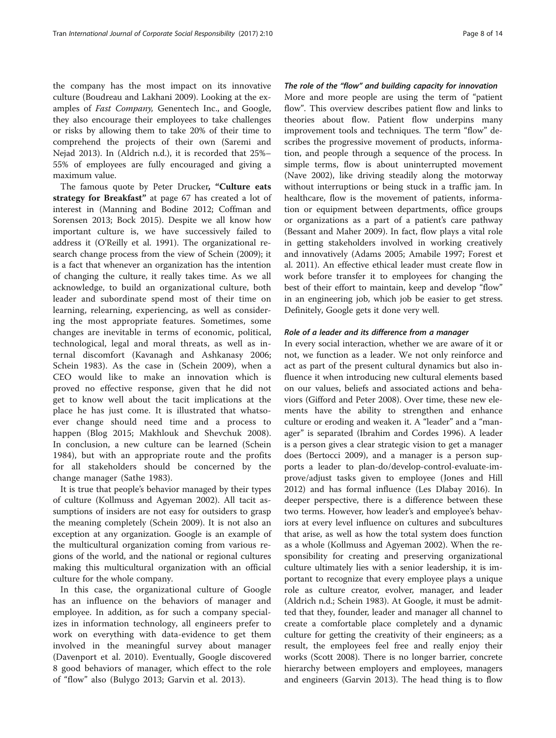the company has the most impact on its innovative culture (Boudreau and Lakhani [2009](#page-11-0)). Looking at the examples of Fast Company, Genentech Inc., and Google, they also encourage their employees to take challenges or risks by allowing them to take 20% of their time to comprehend the projects of their own (Saremi and Nejad [2013](#page-12-0)). In (Aldrich [n.d.\)](#page-11-0), it is recorded that 25%– 55% of employees are fully encouraged and giving a maximum value.

The famous quote by Peter Drucker, "Culture eats strategy for Breakfast" at page 67 has created a lot of interest in (Manning and Bodine [2012;](#page-12-0) Coffman and Sorensen [2013](#page-11-0); Bock [2015](#page-11-0)). Despite we all know how important culture is, we have successively failed to address it (O'Reilly et al. [1991](#page-12-0)). The organizational research change process from the view of Schein ([2009](#page-12-0)); it is a fact that whenever an organization has the intention of changing the culture, it really takes time. As we all acknowledge, to build an organizational culture, both leader and subordinate spend most of their time on learning, relearning, experiencing, as well as considering the most appropriate features. Sometimes, some changes are inevitable in terms of economic, political, technological, legal and moral threats, as well as internal discomfort (Kavanagh and Ashkanasy [2006](#page-12-0); Schein [1983\)](#page-12-0). As the case in (Schein [2009\)](#page-12-0), when a CEO would like to make an innovation which is proved no effective response, given that he did not get to know well about the tacit implications at the place he has just come. It is illustrated that whatsoever change should need time and a process to happen (Blog [2015](#page-11-0); Makhlouk and Shevchuk [2008](#page-12-0)). In conclusion, a new culture can be learned (Schein [1984\)](#page-12-0), but with an appropriate route and the profits for all stakeholders should be concerned by the change manager (Sathe [1983](#page-12-0)).

It is true that people's behavior managed by their types of culture (Kollmuss and Agyeman [2002](#page-12-0)). All tacit assumptions of insiders are not easy for outsiders to grasp the meaning completely (Schein [2009](#page-12-0)). It is not also an exception at any organization. Google is an example of the multicultural organization coming from various regions of the world, and the national or regional cultures making this multicultural organization with an official culture for the whole company.

In this case, the organizational culture of Google has an influence on the behaviors of manager and employee. In addition, as for such a company specializes in information technology, all engineers prefer to work on everything with data-evidence to get them involved in the meaningful survey about manager (Davenport et al. [2010](#page-11-0)). Eventually, Google discovered 8 good behaviors of manager, which effect to the role of "flow" also (Bulygo [2013;](#page-11-0) Garvin et al. [2013](#page-11-0)).

## The role of the "flow" and building capacity for innovation

More and more people are using the term of "patient flow". This overview describes patient flow and links to theories about flow. Patient flow underpins many improvement tools and techniques. The term "flow" describes the progressive movement of products, information, and people through a sequence of the process. In simple terms, flow is about uninterrupted movement (Nave [2002](#page-12-0)), like driving steadily along the motorway without interruptions or being stuck in a traffic jam. In healthcare, flow is the movement of patients, information or equipment between departments, office groups or organizations as a part of a patient's care pathway (Bessant and Maher [2009\)](#page-11-0). In fact, flow plays a vital role in getting stakeholders involved in working creatively and innovatively (Adams [2005;](#page-11-0) Amabile [1997;](#page-11-0) Forest et al. [2011](#page-11-0)). An effective ethical leader must create flow in work before transfer it to employees for changing the best of their effort to maintain, keep and develop "flow" in an engineering job, which job be easier to get stress. Definitely, Google gets it done very well.

#### Role of a leader and its difference from a manager

In every social interaction, whether we are aware of it or not, we function as a leader. We not only reinforce and act as part of the present cultural dynamics but also influence it when introducing new cultural elements based on our values, beliefs and associated actions and behaviors (Gifford and Peter [2008\)](#page-12-0). Over time, these new elements have the ability to strengthen and enhance culture or eroding and weaken it. A "leader" and a "manager" is separated (Ibrahim and Cordes [1996\)](#page-12-0). A leader is a person gives a clear strategic vision to get a manager does (Bertocci [2009](#page-11-0)), and a manager is a person supports a leader to plan-do/develop-control-evaluate-improve/adjust tasks given to employee (Jones and Hill [2012](#page-12-0)) and has formal influence (Les Dlabay [2016\)](#page-12-0). In deeper perspective, there is a difference between these two terms. However, how leader's and employee's behaviors at every level influence on cultures and subcultures that arise, as well as how the total system does function as a whole (Kollmuss and Agyeman [2002](#page-12-0)). When the responsibility for creating and preserving organizational culture ultimately lies with a senior leadership, it is important to recognize that every employee plays a unique role as culture creator, evolver, manager, and leader (Aldrich [n.d.](#page-11-0); Schein [1983](#page-12-0)). At Google, it must be admitted that they, founder, leader and manager all channel to create a comfortable place completely and a dynamic culture for getting the creativity of their engineers; as a result, the employees feel free and really enjoy their works (Scott [2008](#page-12-0)). There is no longer barrier, concrete hierarchy between employers and employees, managers and engineers (Garvin [2013](#page-11-0)). The head thing is to flow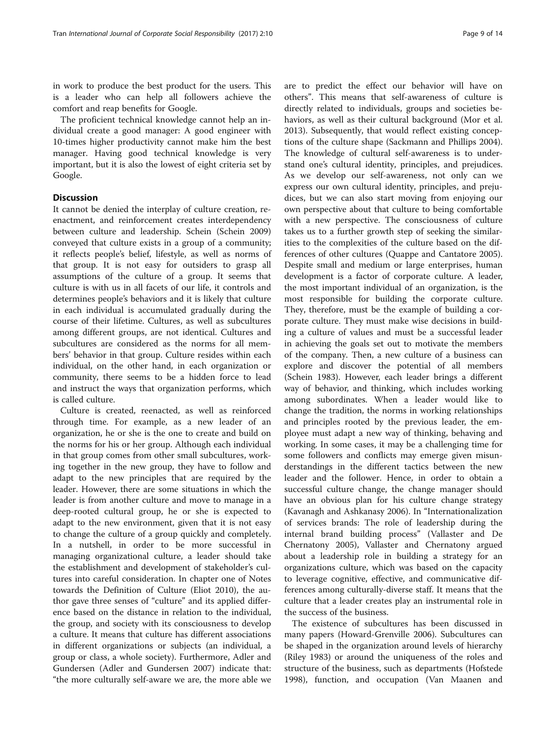in work to produce the best product for the users. This is a leader who can help all followers achieve the comfort and reap benefits for Google.

The proficient technical knowledge cannot help an individual create a good manager: A good engineer with 10-times higher productivity cannot make him the best manager. Having good technical knowledge is very important, but it is also the lowest of eight criteria set by Google.

## **Discussion**

It cannot be denied the interplay of culture creation, reenactment, and reinforcement creates interdependency between culture and leadership. Schein (Schein [2009](#page-12-0)) conveyed that culture exists in a group of a community; it reflects people's belief, lifestyle, as well as norms of that group. It is not easy for outsiders to grasp all assumptions of the culture of a group. It seems that culture is with us in all facets of our life, it controls and determines people's behaviors and it is likely that culture in each individual is accumulated gradually during the course of their lifetime. Cultures, as well as subcultures among different groups, are not identical. Cultures and subcultures are considered as the norms for all members' behavior in that group. Culture resides within each individual, on the other hand, in each organization or community, there seems to be a hidden force to lead and instruct the ways that organization performs, which is called culture.

Culture is created, reenacted, as well as reinforced through time. For example, as a new leader of an organization, he or she is the one to create and build on the norms for his or her group. Although each individual in that group comes from other small subcultures, working together in the new group, they have to follow and adapt to the new principles that are required by the leader. However, there are some situations in which the leader is from another culture and move to manage in a deep-rooted cultural group, he or she is expected to adapt to the new environment, given that it is not easy to change the culture of a group quickly and completely. In a nutshell, in order to be more successful in managing organizational culture, a leader should take the establishment and development of stakeholder's cultures into careful consideration. In chapter one of Notes towards the Definition of Culture (Eliot [2010](#page-11-0)), the author gave three senses of "culture" and its applied difference based on the distance in relation to the individual, the group, and society with its consciousness to develop a culture. It means that culture has different associations in different organizations or subjects (an individual, a group or class, a whole society). Furthermore, Adler and Gundersen (Adler and Gundersen [2007\)](#page-11-0) indicate that: "the more culturally self-aware we are, the more able we are to predict the effect our behavior will have on others". This means that self-awareness of culture is directly related to individuals, groups and societies behaviors, as well as their cultural background (Mor et al. [2013](#page-12-0)). Subsequently, that would reflect existing conceptions of the culture shape (Sackmann and Phillips [2004](#page-12-0)). The knowledge of cultural self-awareness is to understand one's cultural identity, principles, and prejudices. As we develop our self-awareness, not only can we express our own cultural identity, principles, and prejudices, but we can also start moving from enjoying our own perspective about that culture to being comfortable with a new perspective. The consciousness of culture takes us to a further growth step of seeking the similarities to the complexities of the culture based on the differences of other cultures (Quappe and Cantatore [2005](#page-12-0)). Despite small and medium or large enterprises, human development is a factor of corporate culture. A leader, the most important individual of an organization, is the most responsible for building the corporate culture. They, therefore, must be the example of building a corporate culture. They must make wise decisions in building a culture of values and must be a successful leader in achieving the goals set out to motivate the members of the company. Then, a new culture of a business can explore and discover the potential of all members (Schein [1983](#page-12-0)). However, each leader brings a different way of behavior, and thinking, which includes working among subordinates. When a leader would like to change the tradition, the norms in working relationships and principles rooted by the previous leader, the employee must adapt a new way of thinking, behaving and working. In some cases, it may be a challenging time for some followers and conflicts may emerge given misunderstandings in the different tactics between the new leader and the follower. Hence, in order to obtain a successful culture change, the change manager should have an obvious plan for his culture change strategy (Kavanagh and Ashkanasy [2006\)](#page-12-0). In "Internationalization of services brands: The role of leadership during the internal brand building process" (Vallaster and De Chernatony [2005](#page-12-0)), Vallaster and Chernatony argued about a leadership role in building a strategy for an organizations culture, which was based on the capacity to leverage cognitive, effective, and communicative differences among culturally-diverse staff. It means that the culture that a leader creates play an instrumental role in the success of the business.

The existence of subcultures has been discussed in many papers (Howard-Grenville [2006\)](#page-12-0). Subcultures can be shaped in the organization around levels of hierarchy (Riley [1983](#page-12-0)) or around the uniqueness of the roles and structure of the business, such as departments (Hofstede [1998](#page-12-0)), function, and occupation (Van Maanen and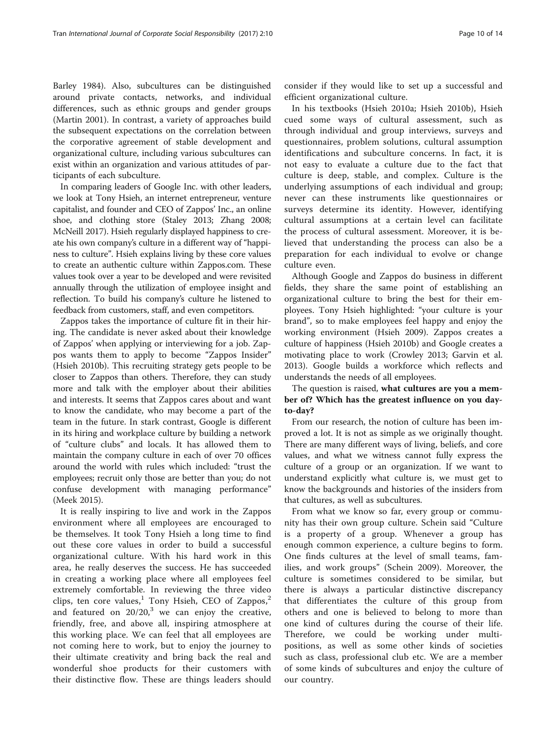Barley [1984](#page-12-0)). Also, subcultures can be distinguished around private contacts, networks, and individual differences, such as ethnic groups and gender groups (Martin [2001](#page-12-0)). In contrast, a variety of approaches build the subsequent expectations on the correlation between the corporative agreement of stable development and organizational culture, including various subcultures can exist within an organization and various attitudes of par-

ticipants of each subculture.

In comparing leaders of Google Inc. with other leaders, we look at Tony Hsieh, an [internet entrepreneur,](http://en.wikipedia.org/wiki/Internet_entrepreneur) [venture](http://en.wikipedia.org/wiki/Venture_capitalist) [capitalist](http://en.wikipedia.org/wiki/Venture_capitalist), and founder and CEO of Zappos' Inc., an online shoe, and clothing store (Staley [2013;](#page-12-0) Zhang [2008](#page-13-0); McNeill [2017](#page-12-0)). Hsieh regularly displayed happiness to create his own company's culture in a different way of "happiness to culture". Hsieh explains living by these core values to create an authentic culture within [Zappos.com.](http://zappos.com) These values took over a year to be developed and were revisited annually through the utilization of employee insight and reflection. To build his company's culture he listened to feedback from customers, staff, and even competitors.

[Zappos](http://www.zappos.com/) takes the importance of culture fit in their hiring. The candidate is never asked about their knowledge of Zappos' when applying or interviewing for a job. Zappos wants them to apply to become "Zappos Insider" (Hsieh [2010b\)](#page-12-0). This recruiting strategy gets people to be closer to Zappos than others. Therefore, they can study more and talk with the employer about their abilities and interests. It seems that Zappos cares about and want to know the candidate, who may become a part of the team in the future. In stark contrast, Google is different in its hiring and workplace culture by building a network of "culture clubs" and locals. It has allowed them to maintain the company culture in each of over 70 offices around the world with rules which included: "trust the employees; recruit only those are better than you; do not confuse development with managing performance" (Meek [2015](#page-12-0)).

It is really inspiring to live and work in the Zappos environment where all employees are encouraged to be themselves. It took Tony Hsieh a long time to find out these core values in order to build a successful organizational culture. With his hard work in this area, he really deserves the success. He has succeeded in creating a working place where all employees feel extremely comfortable. In reviewing the three video clips, ten core values, $1$  Tony Hsieh, CEO of Zappos, $2$ and featured on  $20/20$ ,<sup>3</sup> we can enjoy the creative, friendly, free, and above all, inspiring atmosphere at this working place. We can feel that all employees are not coming here to work, but to enjoy the journey to their ultimate creativity and bring back the real and wonderful shoe products for their customers with their distinctive flow. These are things leaders should

consider if they would like to set up a successful and efficient organizational culture.

In his textbooks (Hsieh [2010a;](#page-12-0) Hsieh [2010b\)](#page-12-0), Hsieh cued some ways of cultural assessment, such as through individual and group interviews, surveys and questionnaires, problem solutions, cultural assumption identifications and subculture concerns. In fact, it is not easy to evaluate a culture due to the fact that culture is deep, stable, and complex. Culture is the underlying assumptions of each individual and group; never can these instruments like questionnaires or surveys determine its identity. However, identifying cultural assumptions at a certain level can facilitate the process of cultural assessment. Moreover, it is believed that understanding the process can also be a preparation for each individual to evolve or change culture even.

Although Google and Zappos do business in different fields, they share the same point of establishing an organizational culture to bring the best for their employees. Tony Hsieh highlighted: "your culture is your brand", so to make employees feel happy and enjoy the working environment (Hsieh [2009\)](#page-12-0). Zappos creates a culture of happiness (Hsieh [2010b\)](#page-12-0) and Google creates a motivating place to work (Crowley [2013;](#page-11-0) Garvin et al. [2013](#page-11-0)). Google builds a workforce which reflects and understands the needs of all employees.

## The question is raised, what cultures are you a member of? Which has the greatest influence on you dayto-day?

From our research, the notion of culture has been improved a lot. It is not as simple as we originally thought. There are many different ways of living, beliefs, and core values, and what we witness cannot fully express the culture of a group or an organization. If we want to understand explicitly what culture is, we must get to know the backgrounds and histories of the insiders from that cultures, as well as subcultures.

From what we know so far, every group or community has their own group culture. Schein said "Culture is a property of a group. Whenever a group has enough common experience, a culture begins to form. One finds cultures at the level of small teams, families, and work groups" (Schein [2009\)](#page-12-0). Moreover, the culture is sometimes considered to be similar, but there is always a particular distinctive discrepancy that differentiates the culture of this group from others and one is believed to belong to more than one kind of cultures during the course of their life. Therefore, we could be working under multipositions, as well as some other kinds of societies such as class, professional club etc. We are a member of some kinds of subcultures and enjoy the culture of our country.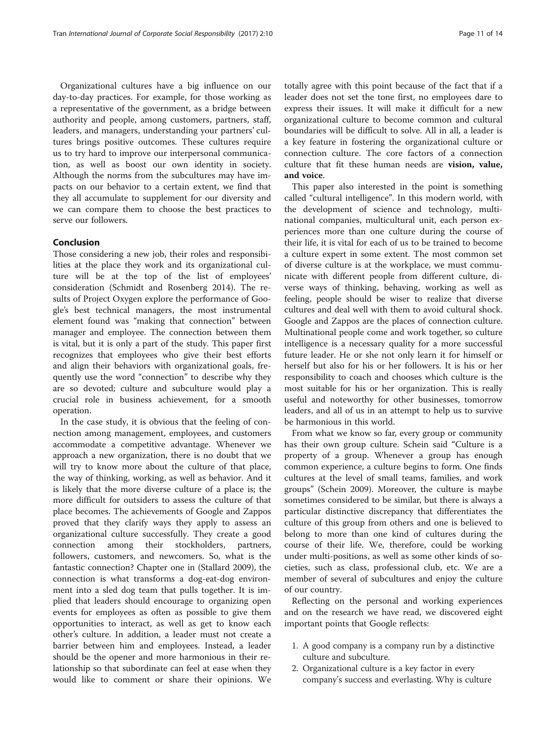Organizational cultures have a big influence on our day-to-day practices. For example, for those working as a representative of the government, as a bridge between authority and people, among customers, partners, staff, leaders, and managers, understanding your partners' cultures brings positive outcomes. These cultures require us to try hard to improve our interpersonal communication, as well as boost our own identity in society. Although the norms from the subcultures may have impacts on our behavior to a certain extent, we find that they all accumulate to supplement for our diversity and we can compare them to choose the best practices to serve our followers.

## Conclusion

Those considering a new job, their roles and responsibilities at the place they work and its organizational culture will be at the top of the list of employees' consideration (Schmidt and Rosenberg [2014](#page-12-0)). The results of Project Oxygen explore the performance of Google's best technical managers, the most instrumental element found was "making that connection" between manager and employee. The connection between them is vital, but it is only a part of the study. This paper first recognizes that employees who give their best efforts and align their behaviors with organizational goals, frequently use the word "connection" to describe why they are so devoted; culture and subculture would play a crucial role in business achievement, for a smooth operation.

In the case study, it is obvious that the feeling of connection among management, employees, and customers accommodate a competitive advantage. Whenever we approach a new organization, there is no doubt that we will try to know more about the culture of that place, the way of thinking, working, as well as behavior. And it is likely that the more diverse culture of a place is; the more difficult for outsiders to assess the culture of that place becomes. The achievements of Google and Zappos proved that they clarify ways they apply to assess an organizational culture successfully. They create a good connection among their stockholders, partners, followers, customers, and newcomers. So, what is the fantastic connection? Chapter one in (Stallard [2009](#page-12-0)), the connection is what transforms a dog-eat-dog environment into a sled dog team that pulls together. It is implied that leaders should encourage to organizing open events for employees as often as possible to give them opportunities to interact, as well as get to know each other's culture. In addition, a leader must not create a barrier between him and employees. Instead, a leader should be the opener and more harmonious in their relationship so that subordinate can feel at ease when they would like to comment or share their opinions. We

totally agree with this point because of the fact that if a leader does not set the tone first, no employees dare to express their issues. It will make it difficult for a new organizational culture to become common and cultural boundaries will be difficult to solve. All in all, a leader is a key feature in fostering the organizational culture or connection culture. The core factors of a connection culture that fit these human needs are vision, value, and voice.

This paper also interested in the point is something called "cultural intelligence". In this modern world, with the development of science and technology, multinational companies, multicultural unit, each person experiences more than one culture during the course of their life, it is vital for each of us to be trained to become a culture expert in some extent. The most common set of diverse culture is at the workplace, we must communicate with different people from different culture, diverse ways of thinking, behaving, working as well as feeling, people should be wiser to realize that diverse cultures and deal well with them to avoid cultural shock. Google and Zappos are the places of connection culture. Multinational people come and work together, so culture intelligence is a necessary quality for a more successful future leader. He or she not only learn it for himself or herself but also for his or her followers. It is his or her responsibility to coach and chooses which culture is the most suitable for his or her organization. This is really useful and noteworthy for other businesses, tomorrow leaders, and all of us in an attempt to help us to survive be harmonious in this world.

From what we know so far, every group or community has their own group culture. Schein said "Culture is a property of a group. Whenever a group has enough common experience, a culture begins to form. One finds cultures at the level of small teams, families, and work groups" (Schein [2009\)](#page-12-0). Moreover, the culture is maybe sometimes considered to be similar, but there is always a particular distinctive discrepancy that differentiates the culture of this group from others and one is believed to belong to more than one kind of cultures during the course of their life. We, therefore, could be working under multi-positions, as well as some other kinds of societies, such as class, professional club, etc. We are a member of several of subcultures and enjoy the culture of our country.

Reflecting on the personal and working experiences and on the research we have read, we discovered eight important points that Google reflects:

- 1. A good company is a company run by a distinctive culture and subculture.
- 2. Organizational culture is a key factor in every company's success and everlasting. Why is culture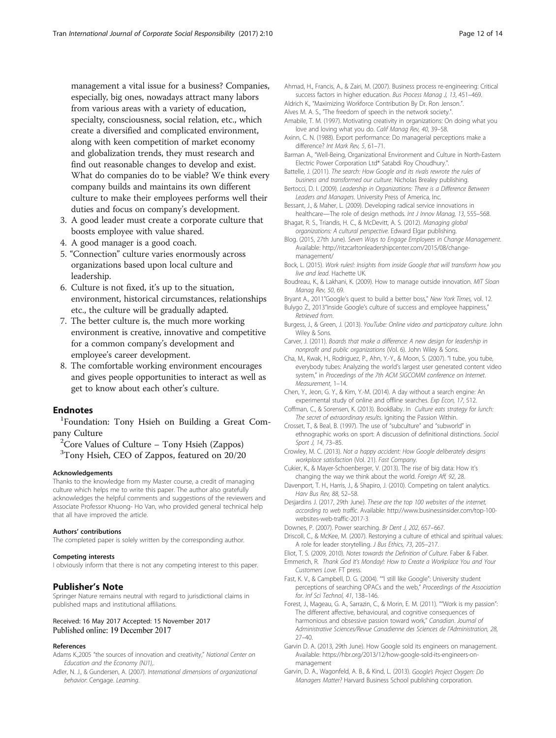<span id="page-11-0"></span>management a vital issue for a business? Companies, especially, big ones, nowadays attract many labors from various areas with a variety of education, specialty, consciousness, social relation, etc., which create a diversified and complicated environment, along with keen competition of market economy and globalization trends, they must research and find out reasonable changes to develop and exist. What do companies do to be viable? We think every company builds and maintains its own different culture to make their employees performs well their duties and focus on company's development.

- 3. A good leader must create a corporate culture that boosts employee with value shared.
- 4. A good manager is a good coach.
- 5. "Connection" culture varies enormously across organizations based upon local culture and leadership.
- 6. Culture is not fixed, it's up to the situation, environment, historical circumstances, relationships etc., the culture will be gradually adapted.
- 7. The better culture is, the much more working environment is creative, innovative and competitive for a common company's development and employee's career development.
- 8. The comfortable working environment encourages and gives people opportunities to interact as well as get to know about each other's culture.

#### **Endnotes**

<sup>1</sup>Foundation: Tony Hsieh on Building a Great Company Culture

 ${}^{2}$ Core Values of Culture – Tony Hsieh (Zappos) <sup>3</sup>Tony Hsieh, CEO of Zappos, featured on 20/20

#### Acknowledgements

Thanks to the knowledge from my Master course, a credit of managing culture which helps me to write this paper. The author also gratefully acknowledges the helpful comments and suggestions of the reviewers and Associate Professor Khuong- Ho Van, who provided general technical help that all have improved the article.

#### Authors' contributions

The completed paper is solely written by the corresponding author.

#### Competing interests

I obviously inform that there is not any competing interest to this paper.

#### Publisher's Note

Springer Nature remains neutral with regard to jurisdictional claims in published maps and institutional affiliations.

#### Received: 16 May 2017 Accepted: 15 November 2017 Published online: 19 December 2017

#### References

- Adams K.,2005 "the sources of innovation and creativity," National Center on Education and the Economy (NJ1),.
- Adler, N. J., & Gundersen, A. (2007). International dimensions of organizational behavior: Cengage. Learning.
- Amabile, T. M. (1997). Motivating creativity in organizations: On doing what you love and loving what you do. Calif Manag Rev, 40, 39–58.
- Axinn, C. N. (1988). Export performance: Do managerial perceptions make a difference? Int Mark Rev, 5, 61–71.
- Barman A., "Well-Being, Organizational Environment and Culture in North-Eastern Electric Power Corporation Ltd\* Satabdi Roy Choudhury.".
- Battelle, J. (2011). The search: How Google and its rivals rewrote the rules of business and transformed our culture. Nicholas Brealey publishing.
- Bertocci, D. I. (2009). Leadership in Organizations: There is a Difference Between Leaders and Managers. University Press of America, Inc.
- Bessant, J., & Maher, L. (2009). Developing radical service innovations in healthcare—The role of design methods. Int J Innov Manag, 13, 555-568.
- Bhagat, R. S., Triandis, H. C., & McDevitt, A. S. (2012). Managing global organizations: A cultural perspective. Edward Elgar publishing.
- Blog. (2015, 27th June). Seven Ways to Engage Employees in Change Management. Available: http://ritzcarltonleadershipcenter.com/2015/08/changemanagement/
- Bock, L. (2015). Work rules!: Insights from inside Google that will transform how you live and lead. Hachette UK.
- Boudreau, K., & Lakhani, K. (2009). How to manage outside innovation. MIT Sloan Manag Rev, 50, 69.
- Bryant A., 2011"Google's quest to build a better boss," New York Times, vol. 12.
- Bulygo Z., 2013"Inside Google's culture of success and employee happiness," Retrieved from.
- Burgess, J., & Green, J. (2013). YouTube: Online video and participatory culture. John Wiley & Sons.
- Carver, J. (2011). Boards that make a difference: A new design for leadership in nonprofit and public organizations (Vol. 6). John Wiley & Sons.
- Cha, M., Kwak, H., Rodriguez, P., Ahn, Y.-Y., & Moon, S. (2007). "I tube, you tube, everybody tubes: Analyzing the world's largest user generated content video system," in Proceedings of the 7th ACM SIGCOMM conference on Internet. Measurement, 1–14.
- Chen, Y., Jeon, G. Y., & Kim, Y.-M. (2014). A day without a search engine: An experimental study of online and offline searches. Exp Econ, 17, 512.
- Coffman, C., & Sorensen, K. (2013). BookBaby. In Culture eats strategy for lunch: The secret of extraordinary results. Igniting the Passion Within.
- Crosset, T., & Beal, B. (1997). The use of "subculture" and "subworld" in ethnographic works on sport: A discussion of definitional distinctions. Sociol Sport J, 14, 73–85.
- Crowley, M. C. (2013). Not a happy accident: How Google deliberately designs workplace satisfaction (Vol. 21). Fast Company.
- Cukier, K., & Mayer-Schoenberger, V. (2013). The rise of big data: How it's changing the way we think about the world. Foreign Aff, 92, 28.
- Davenport, T. H., Harris, J., & Shapiro, J. (2010). Competing on talent analytics. Harv Bus Rev, 88, 52–58.
- Desjardins J. (2017, 29th June). These are the top 100 websites of the internet, according to web traffic. Available: http://www.businessinsider.com/top-100 websites-web-traffic-2017-3
- Downes, P. (2007). Power searching. Br Dent J, 202, 657–667.
- Driscoll, C., & McKee, M. (2007). Restorying a culture of ethical and spiritual values: A role for leader storytelling. J Bus Ethics, 73, 205–217.
- Eliot, T. S. (2009, 2010). Notes towards the Definition of Culture. Faber & Faber.
- Emmerich, R. Thank God It's Monday!: How to Create a Workplace You and Your Customers Love. FT press.
- Fast, K. V., & Campbell, D. G. (2004). ""I still like Google": University student perceptions of searching OPACs and the web," Proceedings of the Association for. Inf Sci Technol, 41, 138–146.
- Forest, J., Mageau, G. A., Sarrazin, C., & Morin, E. M. (2011). ""Work is my passion": The different affective, behavioural, and cognitive consequences of harmonious and obsessive passion toward work," Canadian. Journal of Administrative Sciences/Revue Canadienne des Sciences de l'Administration, 28,  $27 - 40$
- Garvin D. A. (2013, 29th June). How Google sold its engineers on management. Available: https://hbr.org/2013/12/how-google-sold-its-engineers-onmanagement
- Garvin, D. A., Wagonfeld, A. B., & Kind, L. (2013). Google's Project Oxygen: Do Managers Matter? Harvard Business School publishing corporation.

Ahmad, H., Francis, A., & Zairi, M. (2007). Business process re-engineering: Critical success factors in higher education. Bus Process Manag J, 13, 451–469.

Aldrich K., "Maximizing Workforce Contribution By Dr. Ron Jenson.". Alves M. A. S., "The freedom of speech in the network society.".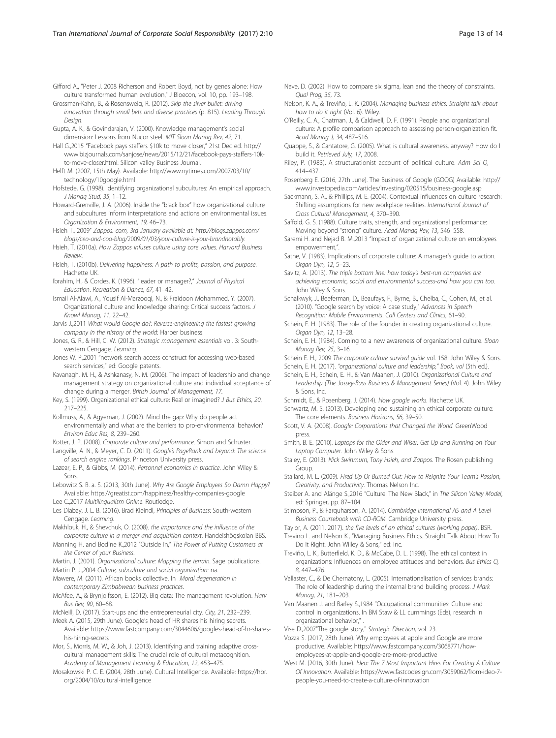<span id="page-12-0"></span>Gifford A., "Peter J. 2008 Richerson and Robert Boyd, not by genes alone: How culture transformed human evolution," J Bioecon, vol. 10, pp. 193–198.

Grossman-Kahn, B., & Rosensweig, R. (2012). Skip the silver bullet: driving innovation through small bets and diverse practices (p. 815). Leading Through Design.

Gupta, A. K., & Govindarajan, V. (2000). Knowledge management's social dimension: Lessons from Nucor steel. MIT Sloan Manag Rev, 42, 71.

Hall G.,2015 "Facebook pays staffers \$10k to move closer," 21st Dec ed. http:// www.bizjournals.com/sanjose/news/2015/12/21/facebook-pays-staffers-10kto-move-closer.html: Silicon valley Business Journal.

Helft M. (2007, 15th May). Available: http://www.nytimes.com/2007/03/10/ technology/10google.html

Hofstede, G. (1998). Identifying organizational subcultures: An empirical approach. J Manag Stud, 35, 1–12.

Howard-Grenville, J. A. (2006). Inside the "black box" how organizational culture and subcultures inform interpretations and actions on environmental issues. Organization & Environment, 19, 46–73.

Hsieh T., 2009" Zappos. com, 3rd January available at: http://blogs.zappos.com/ blogs/ceo-and-coo-blog/2009/01/03/your-culture-is-your-brandnotably.

Hsieh, T. (2010a). How Zappos infuses culture using core values. Harvard Business Review.

Hsieh, T. (2010b). Delivering happiness: A path to profits, passion, and purpose. Hachette UK.

Ibrahim, H., & Cordes, K. (1996). "leader or manager?," Journal of Physical Education. Recreation & Dance, 67, 41–42.

Ismail Al-Alawi, A., Yousif Al-Marzooqi, N., & Fraidoon Mohammed, Y. (2007). Organizational culture and knowledge sharing: Critical success factors. J Knowl Manag, 11, 22–42.

Jarvis J.,2011 What would Google do?: Reverse-engineering the fastest growing company in the history of the world: Harper business.

Jones, G. R., & Hill, C. W. (2012). Strategic management essentials vol. 3: Southwestern Cengage. Learning.

Jones W. P.,2001 "network search access construct for accessing web-based search services," ed: Google patents.

Kavanagh, M. H., & Ashkanasy, N. M. (2006). The impact of leadership and change management strategy on organizational culture and individual acceptance of change during a merger. British Journal of Management, 17.

Key, S. (1999). Organizational ethical culture: Real or imagined? J Bus Ethics, 20, 217–225.

Kollmuss, A., & Agyeman, J. (2002). Mind the gap: Why do people act environmentally and what are the barriers to pro-environmental behavior? Environ Educ Res, 8, 239–260.

Kotter, J. P. (2008). Corporate culture and performance. Simon and Schuster.

Langville, A. N., & Meyer, C. D. (2011). Google's PageRank and beyond: The science of search engine rankings. Princeton University press.

Lazear, E. P., & Gibbs, M. (2014). Personnel economics in practice. John Wiley & Sons.

Lebowitz S. B. a. S. (2013, 30th June). Why Are Google Employees So Damn Happy? Available: https://greatist.com/happiness/healthy-companies-google

Lee C.,2017 Multilingualism Online: Routledge.

Les Dlabay, J. L. B. (2016). Brad Kleindl, Principles of Business: South-western Cengage. Learning.

Makhlouk, H., & Shevchuk, O. (2008). the importance and the influence of the corporate culture in a merger and acquisition context. Handelshögskolan BBS.

Manning H. and Bodine K.,2012 "Outside In," The Power of Putting Customers at the Center of your Business.

Martin, J. (2001). Organizational culture: Mapping the terrain. Sage publications.

Martin P. J.,2004 Culture, subculture and social organization: na.

Mawere, M. (2011). African books collective. In Moral degeneration in contemporary Zimbabwean business practices.

McAfee, A., & Brynjolfsson, E. (2012). Big data: The management revolution. Harv Bus Rev, 90, 60–68.

McNeill, D. (2017). Start-ups and the entrepreneurial city. City, 21, 232–239.

Meek A. (2015, 29th June). Google's head of HR shares his hiring secrets. Available: https://www.fastcompany.com/3044606/googles-head-of-hr-shareshis-hiring-secrets

Mor, S., Morris, M. W., & Joh, J. (2013). Identifying and training adaptive crosscultural management skills: The crucial role of cultural metacognition. Academy of Management Learning & Education, 12, 453–475.

Mosakowski P. C. E. (2004, 28th June). Cultural Intelligence. Available: https://hbr. org/2004/10/cultural-intelligence

Nave, D. (2002). How to compare six sigma, lean and the theory of constraints. Qual Prog, 35, 73.

Nelson, K. A., & Treviño, L. K. (2004). Managing business ethics: Straight talk about how to do it right (Vol. 6). Wiley

O'Reilly, C. A., Chatman, J., & Caldwell, D. F. (1991). People and organizational culture: A profile comparison approach to assessing person-organization fit. Acad Manag J, 34, 487–516.

Quappe, S., & Cantatore, G. (2005). What is cultural awareness, anyway? How do I build it. Retrieved July, 17, 2008.

Riley, P. (1983). A structurationist account of political culture. Adm Sci Q, 414–437.

Rosenberg E. (2016, 27th June). The Business of Google (GOOG) Available: http:// www.investopedia.com/articles/investing/020515/business-google.asp

Sackmann, S. A., & Phillips, M. E. (2004). Contextual influences on culture research: Shifting assumptions for new workplace realities. International Journal of Cross Cultural Management, 4, 370–390.

Saffold, G. S. (1988). Culture traits, strength, and organizational performance: Moving beyond "strong" culture. Acad Manag Rev, 13, 546–558.

Saremi H. and Nejad B. M.,2013 "Impact of organizational culture on employees empowerment,".

Sathe, V. (1983). Implications of corporate culture: A manager's guide to action. Organ Dyn, 12, 5–23.

Savitz, A. (2013). The triple bottom line: how today's best-run companies are achieving economic, social and environmental success-and how you can too. John Wiley & Sons.

Schalkwyk, J., Beeferman, D., Beaufays, F., Byrne, B., Chelba, C., Cohen, M., et al. (2010). "Google search by voice: A case study," Advances in Speech Recognition: Mobile Environments. Call Centers and Clinics, 61–90.

Schein, E. H. (1983). The role of the founder in creating organizational culture. Organ Dyn, 12, 13–28.

Schein, E. H. (1984). Coming to a new awareness of organizational culture. Sloan Manag Rev, 25, 3–16.

Schein E. H., 2009 The corporate culture survival guide vol. 158: John Wiley & Sons.

Schein, E. H. (2017). "organizational culture and leadership," Book, vol (5th ed.).

Schein, E. H., Schein, E. H., & Van Maanen, J. (2010). Organizational Culture and Leadership (The Jossey-Bass Business & Management Series) (Vol. 4). John Wiley & Sons, Inc.

Schmidt, E., & Rosenberg, J. (2014). How google works. Hachette UK.

Schwartz, M. S. (2013). Developing and sustaining an ethical corporate culture: The core elements. Business Horizons, 56, 39–50.

Scott, V. A. (2008). Google: Corporations that Changed the World. GreenWood press.

Smith, B. E. (2010). Laptops for the Older and Wiser: Get Up and Running on Your Laptop Computer. John Wiley & Sons.

Staley, E. (2013). Nick Swinmurn, Tony Hsieh, and Zappos. The Rosen publishing Group.

Stallard, M. L. (2009). Fired Up Or Burned Out: How to Reignite Your Team's Passion, Creativity, and Productivity. Thomas Nelson Inc.

Steiber A. and Alänge S.,2016 "Culture: The New Black," in The Silicon Valley Model, ed: Springer, pp. 87–104.

Stimpson, P., & Farquharson, A. (2014). Cambridge International AS and A Level Business Coursebook with CD-ROM. Cambridge University press.

Taylor, A. (2011, 2017). the five levels of an ethical cultures (working paper). BSR.

Trevino L. and Nelson K., "Managing Business Ethics. Straight Talk About How To Do It Right. John Willey & Sons," ed: Inc.

Treviño, L. K., Butterfield, K. D., & McCabe, D. L. (1998). The ethical context in organizations: Influences on employee attitudes and behaviors. Bus Ethics Q, 8, 447–476.

Vallaster, C., & De Chernatony, L. (2005). Internationalisation of services brands: The role of leadership during the internal brand building process. J Mark Manag, 21, 181–203.

Van Maanen J. and Barley S.,1984 "Occupational communities: Culture and control in organizations. In BM Staw & LL cummings (Eds), research in organizational behavior,"

Vise D.,2007"The google story," Strategic Direction, vol. 23.

Vozza S. (2017, 28th June). Why employees at apple and Google are more productive. Available: https://www.fastcompany.com/3068771/howemployees-at-apple-and-google-are-more-productive

West M. (2016, 30th June). Ideo: The 7 Most Important Hires For Creating A Culture Of Innovation. Available: https://www.fastcodesign.com/3059062/from-ideo-7 people-you-need-to-create-a-culture-of-innovation